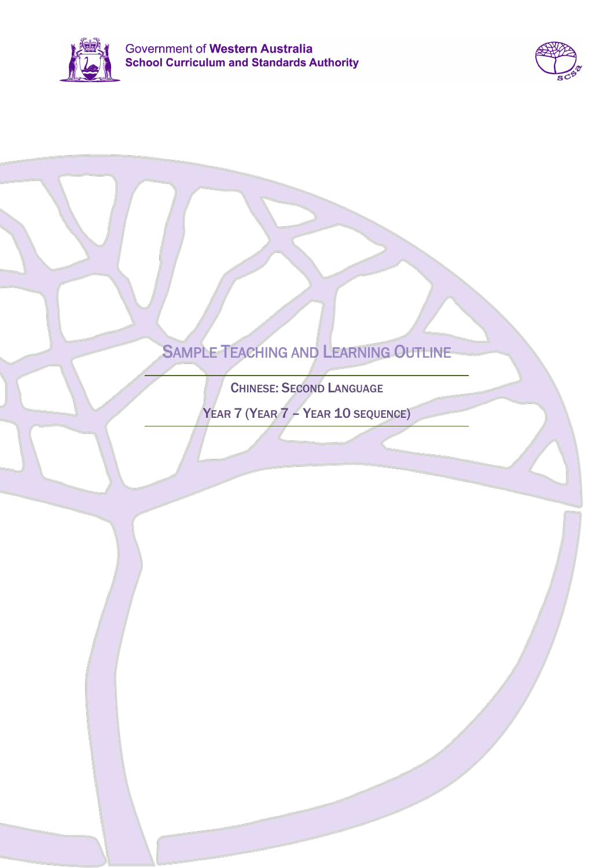



# SAMPLE TEACHING AND LEARNING OUTLINE

CHINESE: SECOND LANGUAGE

YEAR 7 (YEAR 7 – YEAR 10 SEQUENCE)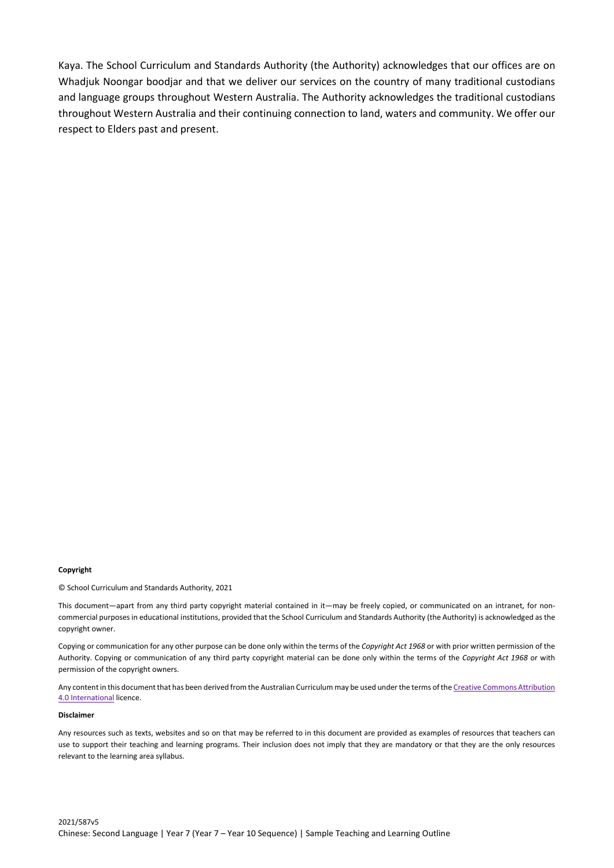Kaya. The School Curriculum and Standards Authority (the Authority) acknowledges that our offices are on Whadjuk Noongar boodjar and that we deliver our services on the country of many traditional custodians and language groups throughout Western Australia. The Authority acknowledges the traditional custodians throughout Western Australia and their continuing connection to land, waters and community. We offer our respect to Elders past and present.

#### **Copyright**

© School Curriculum and Standards Authority, 2021

This document—apart from any third party copyright material contained in it—may be freely copied, or communicated on an intranet, for noncommercial purposes in educational institutions, provided that the School Curriculum and Standards Authority (the Authority) is acknowledged as the copyright owner.

Copying or communication for any other purpose can be done only within the terms of the *Copyright Act 1968* or with prior written permission of the Authority. Copying or communication of any third party copyright material can be done only within the terms of the *Copyright Act 1968* or with permission of the copyright owners.

Any content in this document that has been derived from the Australian Curriculum may be used under the terms of the Creative Commons Attribution [4.0 International](https://creativecommons.org/licenses/by/4.0/) licence.

#### **Disclaimer**

Any resources such as texts, websites and so on that may be referred to in this document are provided as examples of resources that teachers can use to support their teaching and learning programs. Their inclusion does not imply that they are mandatory or that they are the only resources relevant to the learning area syllabus.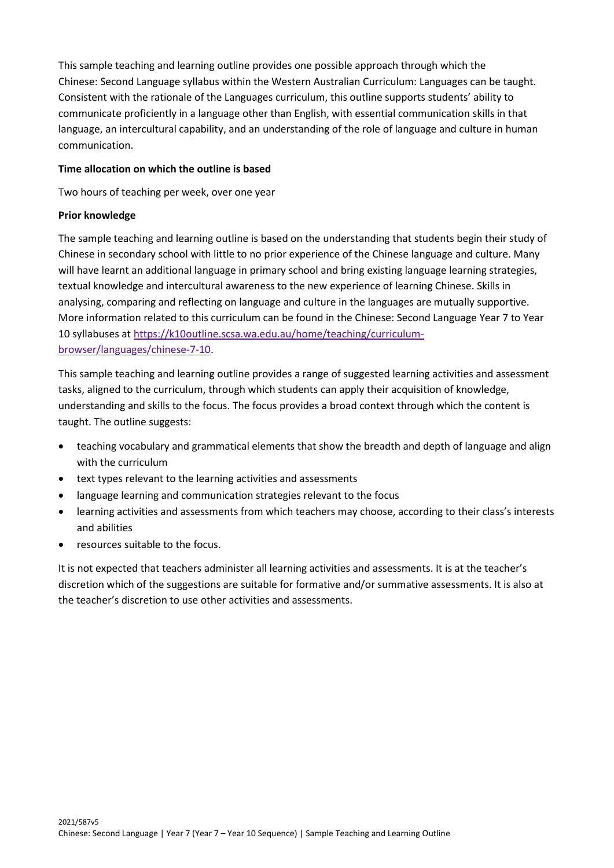This sample teaching and learning outline provides one possible approach through which the Chinese: Second Language syllabus within the Western Australian Curriculum: Languages can be taught. Consistent with the rationale of the Languages curriculum, this outline supports students' ability to communicate proficiently in a language other than English, with essential communication skills in that language, an intercultural capability, and an understanding of the role of language and culture in human communication.

## **Time allocation on which the outline is based**

Two hours of teaching per week, over one year

### **Prior knowledge**

The sample teaching and learning outline is based on the understanding that students begin their study of Chinese in secondary school with little to no prior experience of the Chinese language and culture. Many will have learnt an additional language in primary school and bring existing language learning strategies, textual knowledge and intercultural awareness to the new experience of learning Chinese. Skills in analysing, comparing and reflecting on language and culture in the languages are mutually supportive. More information related to this curriculum can be found in the Chinese: Second Language Year 7 to Year 10 syllabuses a[t https://k10outline.scsa.wa.edu.au/home/teaching/curriculum](https://k10outline.scsa.wa.edu.au/home/teaching/curriculum-browser/languages/chinese-7-10)[browser/languages/chinese-7-10.](https://k10outline.scsa.wa.edu.au/home/teaching/curriculum-browser/languages/chinese-7-10)

This sample teaching and learning outline provides a range of suggested learning activities and assessment tasks, aligned to the curriculum, through which students can apply their acquisition of knowledge, understanding and skills to the focus. The focus provides a broad context through which the content is taught. The outline suggests:

- teaching vocabulary and grammatical elements that show the breadth and depth of language and align with the curriculum
- text types relevant to the learning activities and assessments
- language learning and communication strategies relevant to the focus
- learning activities and assessments from which teachers may choose, according to their class's interests and abilities
- resources suitable to the focus.

It is not expected that teachers administer all learning activities and assessments. It is at the teacher's discretion which of the suggestions are suitable for formative and/or summative assessments. It is also at the teacher's discretion to use other activities and assessments.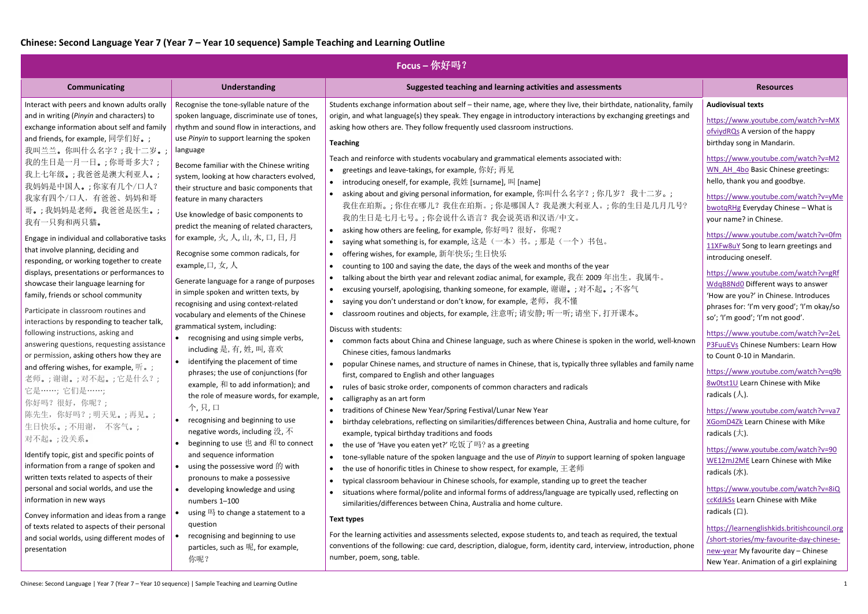| <b>Focus</b> – 你好吗?                                                                                                                                                                                                                                                                                                                                                                                                                                                                                                                                                                                                                                                                                                                                                                                                                                                                                                                                                                                                                                                                                                                                                                                                             |                                                                                                                                                                                                                                                                                                                                                                                                                                                                                                                                                                                                                                                                                                                                                                                                                                                                                                                                                                                                                                                                                                                                                                                                                                                                                                                                                                                                                                                                                                                                                                                                                                                                                                                                                                                                                                                                                                                                                                                                                                                                                                                                                                                                                                                                                                                                                                                                                                   |                                                                                                                                                                                                                                                                                                                                                                                                                                                                                                                                                                                                                                                                                                                                                                                                                                                                                                                                                                                                                                                                                                                                                             |  |  |
|---------------------------------------------------------------------------------------------------------------------------------------------------------------------------------------------------------------------------------------------------------------------------------------------------------------------------------------------------------------------------------------------------------------------------------------------------------------------------------------------------------------------------------------------------------------------------------------------------------------------------------------------------------------------------------------------------------------------------------------------------------------------------------------------------------------------------------------------------------------------------------------------------------------------------------------------------------------------------------------------------------------------------------------------------------------------------------------------------------------------------------------------------------------------------------------------------------------------------------|-----------------------------------------------------------------------------------------------------------------------------------------------------------------------------------------------------------------------------------------------------------------------------------------------------------------------------------------------------------------------------------------------------------------------------------------------------------------------------------------------------------------------------------------------------------------------------------------------------------------------------------------------------------------------------------------------------------------------------------------------------------------------------------------------------------------------------------------------------------------------------------------------------------------------------------------------------------------------------------------------------------------------------------------------------------------------------------------------------------------------------------------------------------------------------------------------------------------------------------------------------------------------------------------------------------------------------------------------------------------------------------------------------------------------------------------------------------------------------------------------------------------------------------------------------------------------------------------------------------------------------------------------------------------------------------------------------------------------------------------------------------------------------------------------------------------------------------------------------------------------------------------------------------------------------------------------------------------------------------------------------------------------------------------------------------------------------------------------------------------------------------------------------------------------------------------------------------------------------------------------------------------------------------------------------------------------------------------------------------------------------------------------------------------------------------|-------------------------------------------------------------------------------------------------------------------------------------------------------------------------------------------------------------------------------------------------------------------------------------------------------------------------------------------------------------------------------------------------------------------------------------------------------------------------------------------------------------------------------------------------------------------------------------------------------------------------------------------------------------------------------------------------------------------------------------------------------------------------------------------------------------------------------------------------------------------------------------------------------------------------------------------------------------------------------------------------------------------------------------------------------------------------------------------------------------------------------------------------------------|--|--|
| <b>Understanding</b>                                                                                                                                                                                                                                                                                                                                                                                                                                                                                                                                                                                                                                                                                                                                                                                                                                                                                                                                                                                                                                                                                                                                                                                                            | Suggested teaching and learning activities and assessments                                                                                                                                                                                                                                                                                                                                                                                                                                                                                                                                                                                                                                                                                                                                                                                                                                                                                                                                                                                                                                                                                                                                                                                                                                                                                                                                                                                                                                                                                                                                                                                                                                                                                                                                                                                                                                                                                                                                                                                                                                                                                                                                                                                                                                                                                                                                                                        | <b>Resources</b>                                                                                                                                                                                                                                                                                                                                                                                                                                                                                                                                                                                                                                                                                                                                                                                                                                                                                                                                                                                                                                                                                                                                            |  |  |
| Recognise the tone-syllable nature of the<br>spoken language, discriminate use of tones,<br>rhythm and sound flow in interactions, and<br>use Pinyin to support learning the spoken<br>language                                                                                                                                                                                                                                                                                                                                                                                                                                                                                                                                                                                                                                                                                                                                                                                                                                                                                                                                                                                                                                 | Students exchange information about self - their name, age, where they live, their birthdate, nationality, family<br>origin, and what language(s) they speak. They engage in introductory interactions by exchanging greetings and<br>asking how others are. They follow frequently used classroom instructions.<br><b>Teaching</b>                                                                                                                                                                                                                                                                                                                                                                                                                                                                                                                                                                                                                                                                                                                                                                                                                                                                                                                                                                                                                                                                                                                                                                                                                                                                                                                                                                                                                                                                                                                                                                                                                                                                                                                                                                                                                                                                                                                                                                                                                                                                                               | <b>Audiovisual texts</b><br>https://www.youtube.com/watch?v=MX<br>ofviydRQs A version of the happy<br>birthday song in Mandarin.                                                                                                                                                                                                                                                                                                                                                                                                                                                                                                                                                                                                                                                                                                                                                                                                                                                                                                                                                                                                                            |  |  |
| Become familiar with the Chinese writing<br>system, looking at how characters evolved,<br>their structure and basic components that<br>feature in many characters<br>Use knowledge of basic components to<br>predict the meaning of related characters,<br>for example, 火, 人, 山, 木, 口, 日, 月<br>Recognise some common radicals, for<br>example, $\Box$ , $\overline{\chi}$ , $\overline{\Lambda}$<br>Generate language for a range of purposes<br>in simple spoken and written texts, by<br>recognising and using context-related<br>vocabulary and elements of the Chinese<br>grammatical system, including:<br>recognising and using simple verbs,<br>including 是, 有, 姓, 叫, 喜欢<br>identifying the placement of time<br>phrases; the use of conjunctions (for<br>example, $\bar{x}$ to add information); and<br>the role of measure words, for example,<br>个,只,口<br>recognising and beginning to use<br>negative words, including 没, 不<br>beginning to use 也 and 和 to connect<br>and sequence information<br>using the possessive word $\hat{E}$ with<br>pronouns to make a possessive<br>developing knowledge and using<br>numbers 1-100<br>using 吗 to change a statement to a<br>question<br>recognising and beginning to use | Teach and reinforce with students vocabulary and grammatical elements associated with:<br>greetings and leave-takings, for example, 你好; 再见<br>• introducing oneself, for example, $H_{\text{tot}}$ [surname], $H$ ] [name]<br>asking about and giving personal information, for example, 你叫什么名字?; 你几岁? 我十二岁。;<br>我住在珀斯。; 你住在哪儿? 我住在珀斯。; 你是哪国人? 我是澳大利亚人。; 你的生日是几月几号?<br>我的生日是七月七号。;你会说什么语言?我会说英语和汉语/中文。<br>asking how others are feeling, for example, 你好吗?很好, 你呢?<br>saying what something is, for example, 这是(一本)书。; 那是(一个)书包。<br>offering wishes, for example, 新年快乐; 生日快乐<br>$\bullet$<br>counting to 100 and saying the date, the days of the week and months of the year<br>$\bullet$<br>talking about the birth year and relevant zodiac animal, for example, 我在 2009 年出生。我属牛。<br>excusing yourself, apologising, thanking someone, for example, 谢谢。; 对不起。; 不客气<br>saying you don't understand or don't know, for example, 老师,我不懂<br>classroom routines and objects, for example, 注意听; 请安静; 听一听; 请坐下, 打开课本。<br>Discuss with students:<br>common facts about China and Chinese language, such as where Chinese is spoken in the world, well-known<br>Chinese cities, famous landmarks<br>• popular Chinese names, and structure of names in Chinese, that is, typically three syllables and family name<br>first, compared to English and other languages<br>• rules of basic stroke order, components of common characters and radicals<br>calligraphy as an art form<br>traditions of Chinese New Year/Spring Festival/Lunar New Year<br>birthday celebrations, reflecting on similarities/differences between China, Australia and home culture, for<br>example, typical birthday traditions and foods<br>the use of 'Have you eaten yet?' 吃饭了吗? as a greeting<br>tone-syllable nature of the spoken language and the use of Pinyin to support learning of spoken language<br>the use of honorific titles in Chinese to show respect, for example, $\pm \mathcal{Z} \bar{\psi}$<br>$\bullet$<br>typical classroom behaviour in Chinese schools, for example, standing up to greet the teacher<br>$\bullet$<br>situations where formal/polite and informal forms of address/language are typically used, reflecting on<br>similarities/differences between China, Australia and home culture.<br>Text types<br>For the learning activities and assessments selected, expose students to, and teach as required, the textual | https://www.youtube.com/watch?v=M2<br>WN AH 4bo Basic Chinese greetings:<br>hello, thank you and goodbye.<br>https://www.youtube.com/watch?v=yMe<br>bwotgRHg Everyday Chinese - What is<br>your name? in Chinese.<br>https://www.youtube.com/watch?v=0fm<br>11XFw8uY Song to learn greetings and<br>introducing oneself.<br>https://www.youtube.com/watch?v=gRf<br>WdqB8Nd0 Different ways to answer<br>'How are you?' in Chinese. Introduces<br>phrases for: 'I'm very good'; 'I'm okay/so<br>so'; 'I'm good'; 'I'm not good'.<br>https://www.youtube.com/watch?v=2eL<br>P3FuuEVs Chinese Numbers: Learn How<br>to Count 0-10 in Mandarin.<br>https://www.youtube.com/watch?v=q9b<br>8w0tst1U Learn Chinese with Mike<br>radicals $(\bigwedge)$ .<br>https://www.youtube.com/watch?v=va7<br>XGomD4Zk Learn Chinese with Mike<br>radicals $(\nabla)$ .<br>https://www.youtube.com/watch?v=90<br>WE12mJ2ME Learn Chinese with Mike<br>radicals $(\nexists x)$ .<br>https://www.youtube.com/watch?v=8iQ<br>ccKdJkSs Learn Chinese with Mike<br>radicals $(\Box)$ .<br>https://learnenglishkids.britishcouncil.org<br>/short-stories/my-favourite-day-chinese- |  |  |
| particles, such as 呢, for example,<br>你呢?                                                                                                                                                                                                                                                                                                                                                                                                                                                                                                                                                                                                                                                                                                                                                                                                                                                                                                                                                                                                                                                                                                                                                                                       | conventions of the following: cue card, description, dialogue, form, identity card, interview, introduction, phone<br>number, poem, song, table.                                                                                                                                                                                                                                                                                                                                                                                                                                                                                                                                                                                                                                                                                                                                                                                                                                                                                                                                                                                                                                                                                                                                                                                                                                                                                                                                                                                                                                                                                                                                                                                                                                                                                                                                                                                                                                                                                                                                                                                                                                                                                                                                                                                                                                                                                  | new-year My favourite day - Chinese<br>New Year. Animation of a girl explaining                                                                                                                                                                                                                                                                                                                                                                                                                                                                                                                                                                                                                                                                                                                                                                                                                                                                                                                                                                                                                                                                             |  |  |
|                                                                                                                                                                                                                                                                                                                                                                                                                                                                                                                                                                                                                                                                                                                                                                                                                                                                                                                                                                                                                                                                                                                                                                                                                                 |                                                                                                                                                                                                                                                                                                                                                                                                                                                                                                                                                                                                                                                                                                                                                                                                                                                                                                                                                                                                                                                                                                                                                                                                                                                                                                                                                                                                                                                                                                                                                                                                                                                                                                                                                                                                                                                                                                                                                                                                                                                                                                                                                                                                                                                                                                                                                                                                                                   |                                                                                                                                                                                                                                                                                                                                                                                                                                                                                                                                                                                                                                                                                                                                                                                                                                                                                                                                                                                                                                                                                                                                                             |  |  |

## Chinese: Second Language | Year 7 (Year 7 – Year 10 sequence) | Sample Teaching and Learning Outline 1 and 1 and 1 and 1 and 1 and 1 and 1 and 1 and 1 and 1 and 1 and 1 and 1 and 1 and 1 and 1 and 1 and 1 and 1 and 1 and 1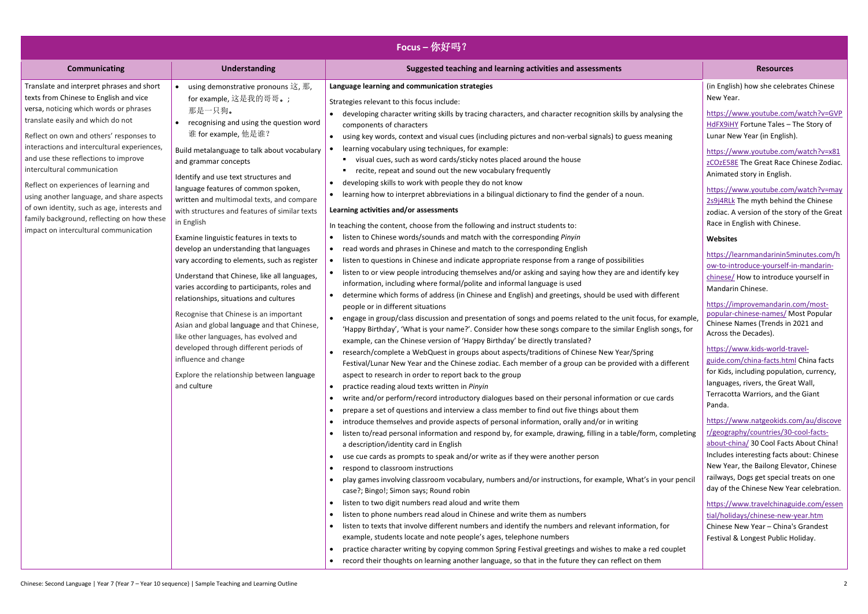| <b>Focus</b> -你好吗?                                                                                                                                                                                                                                                                                                                                                                                                                                                                                                                                               |                                                                                                                                                                                                                                                                                                                                                                                                                                                                                                                                                                                                                                                                                                                                                                                                                                                                                                                                                            |                                                                                                                                                                                                                                                                                                                                                                                                                                                                                                                                                                                                                                                                                                                                                                                                                                                                                                                                                                                                                                                                                                                                                                                                                                                                                                                                                                                                                                                                                                                                                                                                                                                                                                                                                                                                                                                                                                                                                                                                                                                                                                                                                                                                                                                                                                                                                                                                                                                                                                                                                                                                                                                                                                                                                                                                                                                                                                                                                                                                                                                                                                                                                                                                                                                                                                                                                                                                                                           |                                                                                                                                                                                                                                                                                                                                                                                                                                                                                                                                                                                                                                                                                                                                                                                                                                                                                                                                                                                                                                                                                                                                                                                                                                                                                                                                                                                                                                                  |
|------------------------------------------------------------------------------------------------------------------------------------------------------------------------------------------------------------------------------------------------------------------------------------------------------------------------------------------------------------------------------------------------------------------------------------------------------------------------------------------------------------------------------------------------------------------|------------------------------------------------------------------------------------------------------------------------------------------------------------------------------------------------------------------------------------------------------------------------------------------------------------------------------------------------------------------------------------------------------------------------------------------------------------------------------------------------------------------------------------------------------------------------------------------------------------------------------------------------------------------------------------------------------------------------------------------------------------------------------------------------------------------------------------------------------------------------------------------------------------------------------------------------------------|-------------------------------------------------------------------------------------------------------------------------------------------------------------------------------------------------------------------------------------------------------------------------------------------------------------------------------------------------------------------------------------------------------------------------------------------------------------------------------------------------------------------------------------------------------------------------------------------------------------------------------------------------------------------------------------------------------------------------------------------------------------------------------------------------------------------------------------------------------------------------------------------------------------------------------------------------------------------------------------------------------------------------------------------------------------------------------------------------------------------------------------------------------------------------------------------------------------------------------------------------------------------------------------------------------------------------------------------------------------------------------------------------------------------------------------------------------------------------------------------------------------------------------------------------------------------------------------------------------------------------------------------------------------------------------------------------------------------------------------------------------------------------------------------------------------------------------------------------------------------------------------------------------------------------------------------------------------------------------------------------------------------------------------------------------------------------------------------------------------------------------------------------------------------------------------------------------------------------------------------------------------------------------------------------------------------------------------------------------------------------------------------------------------------------------------------------------------------------------------------------------------------------------------------------------------------------------------------------------------------------------------------------------------------------------------------------------------------------------------------------------------------------------------------------------------------------------------------------------------------------------------------------------------------------------------------------------------------------------------------------------------------------------------------------------------------------------------------------------------------------------------------------------------------------------------------------------------------------------------------------------------------------------------------------------------------------------------------------------------------------------------------------------------------------------------------|--------------------------------------------------------------------------------------------------------------------------------------------------------------------------------------------------------------------------------------------------------------------------------------------------------------------------------------------------------------------------------------------------------------------------------------------------------------------------------------------------------------------------------------------------------------------------------------------------------------------------------------------------------------------------------------------------------------------------------------------------------------------------------------------------------------------------------------------------------------------------------------------------------------------------------------------------------------------------------------------------------------------------------------------------------------------------------------------------------------------------------------------------------------------------------------------------------------------------------------------------------------------------------------------------------------------------------------------------------------------------------------------------------------------------------------------------|
| <b>Communicating</b>                                                                                                                                                                                                                                                                                                                                                                                                                                                                                                                                             | <b>Understanding</b>                                                                                                                                                                                                                                                                                                                                                                                                                                                                                                                                                                                                                                                                                                                                                                                                                                                                                                                                       | Suggested teaching and learning activities and assessments                                                                                                                                                                                                                                                                                                                                                                                                                                                                                                                                                                                                                                                                                                                                                                                                                                                                                                                                                                                                                                                                                                                                                                                                                                                                                                                                                                                                                                                                                                                                                                                                                                                                                                                                                                                                                                                                                                                                                                                                                                                                                                                                                                                                                                                                                                                                                                                                                                                                                                                                                                                                                                                                                                                                                                                                                                                                                                                                                                                                                                                                                                                                                                                                                                                                                                                                                                                | <b>Resources</b>                                                                                                                                                                                                                                                                                                                                                                                                                                                                                                                                                                                                                                                                                                                                                                                                                                                                                                                                                                                                                                                                                                                                                                                                                                                                                                                                                                                                                                 |
| Translate and interpret phrases and short<br>texts from Chinese to English and vice<br>versa, noticing which words or phrases<br>translate easily and which do not<br>Reflect on own and others' responses to<br>interactions and intercultural experiences,<br>and use these reflections to improve<br>intercultural communication<br>Reflect on experiences of learning and<br>using another language, and share aspects<br>of own identity, such as age, interests and<br>family background, reflecting on how these<br>impact on intercultural communication | using demonstrative pronouns 这, 那,<br>for example, 这是我的哥哥。;<br>那是一只狗。<br>• recognising and using the question word<br>谁 for example, 他是谁?<br>Build metalanguage to talk about vocabulary<br>and grammar concepts<br>Identify and use text structures and<br>language features of common spoken,<br>written and multimodal texts, and compare<br>with structures and features of similar texts<br>in English<br>Examine linguistic features in texts to<br>develop an understanding that languages<br>vary according to elements, such as register<br>Understand that Chinese, like all languages,<br>varies according to participants, roles and<br>relationships, situations and cultures<br>Recognise that Chinese is an important<br>Asian and global language and that Chinese,<br>like other languages, has evolved and<br>developed through different periods of<br>influence and change<br>Explore the relationship between language<br>and culture | Language learning and communication strategies<br>Strategies relevant to this focus include:<br>developing character writing skills by tracing characters, and character recognition skills by analysing the<br>$\bullet$<br>components of characters<br>using key words, context and visual cues (including pictures and non-verbal signals) to guess meaning<br>learning vocabulary using techniques, for example:<br>visual cues, such as word cards/sticky notes placed around the house<br>recite, repeat and sound out the new vocabulary frequently<br>developing skills to work with people they do not know<br>$\bullet$<br>learning how to interpret abbreviations in a bilingual dictionary to find the gender of a noun.<br>$\bullet$<br>Learning activities and/or assessments<br>In teaching the content, choose from the following and instruct students to:<br>listen to Chinese words/sounds and match with the corresponding Pinyin<br>• read words and phrases in Chinese and match to the corresponding English<br>listen to questions in Chinese and indicate appropriate response from a range of possibilities<br>listen to or view people introducing themselves and/or asking and saying how they are and identify key<br>$\bullet$<br>information, including where formal/polite and informal language is used<br>determine which forms of address (in Chinese and English) and greetings, should be used with different<br>people or in different situations<br>• engage in group/class discussion and presentation of songs and poems related to the unit focus, for example,<br>'Happy Birthday', 'What is your name?'. Consider how these songs compare to the similar English songs, for<br>example, can the Chinese version of 'Happy Birthday' be directly translated?<br>research/complete a WebQuest in groups about aspects/traditions of Chinese New Year/Spring<br>$\bullet$<br>Festival/Lunar New Year and the Chinese zodiac. Each member of a group can be provided with a different<br>aspect to research in order to report back to the group<br>practice reading aloud texts written in Pinyin<br>write and/or perform/record introductory dialogues based on their personal information or cue cards<br>prepare a set of questions and interview a class member to find out five things about them<br>• introduce themselves and provide aspects of personal information, orally and/or in writing<br>listen to/read personal information and respond by, for example, drawing, filling in a table/form, completing<br>a description/identity card in English<br>use cue cards as prompts to speak and/or write as if they were another person<br>respond to classroom instructions<br>play games involving classroom vocabulary, numbers and/or instructions, for example, What's in your pencil<br>case?; Bingo!; Simon says; Round robin<br>listen to two digit numbers read aloud and write them<br>listen to phone numbers read aloud in Chinese and write them as numbers<br>$\bullet$<br>listen to texts that involve different numbers and identify the numbers and relevant information, for<br>example, students locate and note people's ages, telephone numbers<br>practice character writing by copying common Spring Festival greetings and wishes to make a red couplet<br>record their thoughts on learning another language, so that in the future they can reflect on them | (in English) how she celebrates Chinese<br>New Year.<br>https://www.youtube.com/watch?v=GVP<br>HdFX9iHY Fortune Tales - The Story of<br>Lunar New Year (in English).<br>https://www.youtube.com/watch?v=x81<br>zCOzE58E The Great Race Chinese Zodiac.<br>Animated story in English.<br>https://www.youtube.com/watch?v=may<br>2s9j4RLk The myth behind the Chinese<br>zodiac. A version of the story of the Great<br>Race in English with Chinese.<br>Websites<br>https://learnmandarinin5minutes.com/h<br>ow-to-introduce-yourself-in-mandarin-<br>chinese/ How to introduce yourself in<br>Mandarin Chinese.<br>https://improvemandarin.com/most-<br>popular-chinese-names/ Most Popular<br>Chinese Names (Trends in 2021 and<br>Across the Decades).<br>https://www.kids-world-travel-<br>guide.com/china-facts.html China facts<br>for Kids, including population, currency,<br>languages, rivers, the Great Wall,<br>Terracotta Warriors, and the Giant<br>Panda.<br>https://www.natgeokids.com/au/discove<br>r/geography/countries/30-cool-facts-<br>about-china/ 30 Cool Facts About China!<br>Includes interesting facts about: Chinese<br>New Year, the Bailong Elevator, Chinese<br>railways, Dogs get special treats on one<br>day of the Chinese New Year celebration.<br>https://www.travelchinaguide.com/essen<br>tial/holidays/chinese-new-year.htm<br>Chinese New Year - China's Grandest<br>Festival & Longest Public Holiday. |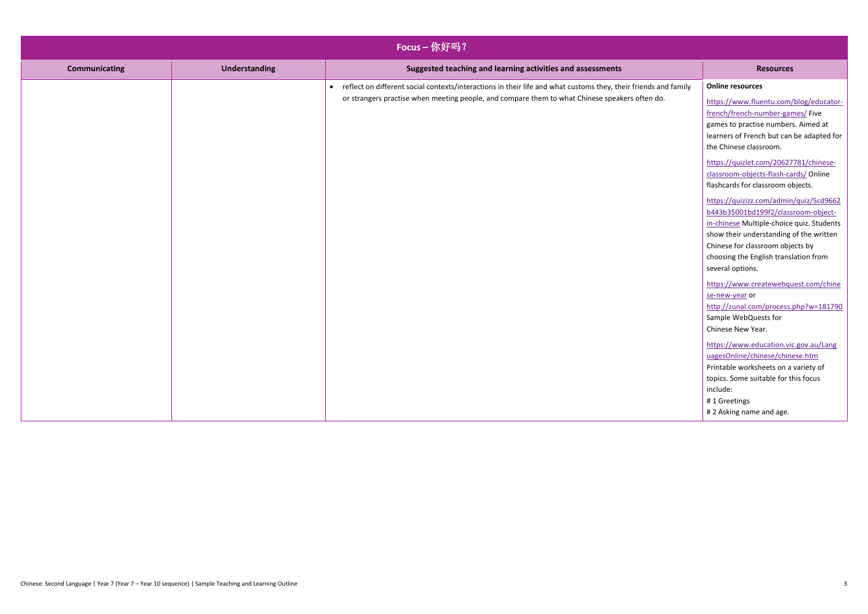| Focus-你好吗?           |                      |                                                                                                                                                                                                                     |                                                                                                                                                                                                                                                                                                                                                                                                                                                                                                                                                                                                                                                                                                                                                                                                                                                                                                                                                                                         |
|----------------------|----------------------|---------------------------------------------------------------------------------------------------------------------------------------------------------------------------------------------------------------------|-----------------------------------------------------------------------------------------------------------------------------------------------------------------------------------------------------------------------------------------------------------------------------------------------------------------------------------------------------------------------------------------------------------------------------------------------------------------------------------------------------------------------------------------------------------------------------------------------------------------------------------------------------------------------------------------------------------------------------------------------------------------------------------------------------------------------------------------------------------------------------------------------------------------------------------------------------------------------------------------|
| <b>Communicating</b> | <b>Understanding</b> | Suggested teaching and learning activities and assessments                                                                                                                                                          | <b>Resources</b>                                                                                                                                                                                                                                                                                                                                                                                                                                                                                                                                                                                                                                                                                                                                                                                                                                                                                                                                                                        |
|                      |                      | • reflect on different social contexts/interactions in their life and what customs they, their friends and family<br>or strangers practise when meeting people, and compare them to what Chinese speakers often do. | <b>Online resources</b><br>https://www.fluentu.com/blog/educator-<br>french/french-number-games/ Five<br>games to practise numbers. Aimed at<br>learners of French but can be adapted for<br>the Chinese classroom.<br>https://quizlet.com/20627781/chinese-<br>classroom-objects-flash-cards/ Online<br>flashcards for classroom objects.<br>https://quizizz.com/admin/quiz/5cd9662<br>b443b35001bd199f2/classroom-object-<br>in-chinese Multiple-choice quiz. Students<br>show their understanding of the written<br>Chinese for classroom objects by<br>choosing the English translation from<br>several options.<br>https://www.createwebquest.com/chine<br>se-new-year or<br>http://zunal.com/process.php?w=181790<br>Sample WebQuests for<br>Chinese New Year.<br>https://www.education.vic.gov.au/Lang<br>uagesOnline/chinese/chinese.htm<br>Printable worksheets on a variety of<br>topics. Some suitable for this focus<br>include:<br>#1 Greetings<br>#2 Asking name and age. |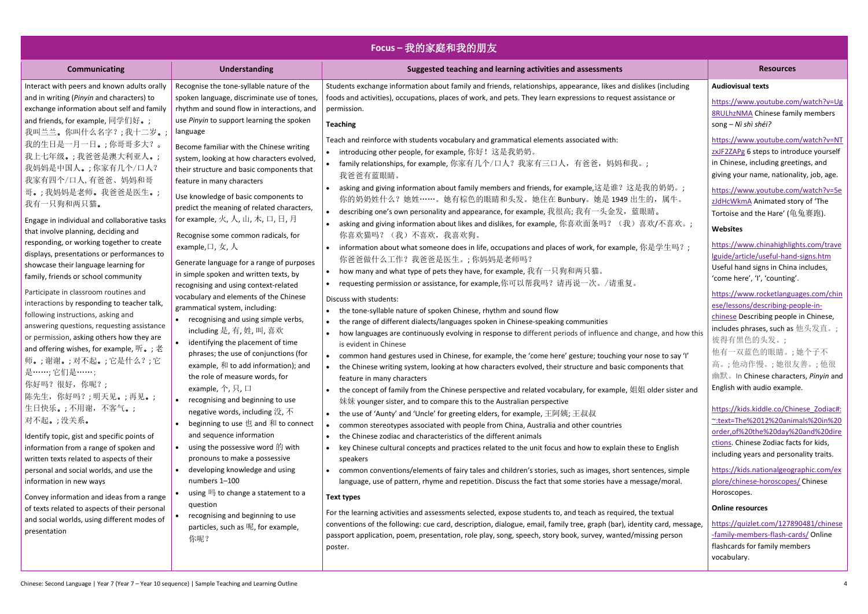| Focus-我的家庭和我的朋友                                                                                                                                                                                                                                                                                                                                                                                                                                                                                                                                                                                                                                                                                                                                                                                                        |                                                                                                                                                                                                                                                                                                                                                                                                                                                                                                                                                                                                                                                                                                                                                                                                                                                                                                                                                 |                                                                                                                                                                                                                                                                                                                                                                                                                                                                                                                                                                                                                                                                                                                                                                                                                                                                                                                                                                                                                                                                                                                                                                                                                                                                                                                                                                                                                                                                  |                                                                                                                                                                                                                                                                                                                                                                                                                                                                                                                                                                                                                                                                                                                                                                                    |
|------------------------------------------------------------------------------------------------------------------------------------------------------------------------------------------------------------------------------------------------------------------------------------------------------------------------------------------------------------------------------------------------------------------------------------------------------------------------------------------------------------------------------------------------------------------------------------------------------------------------------------------------------------------------------------------------------------------------------------------------------------------------------------------------------------------------|-------------------------------------------------------------------------------------------------------------------------------------------------------------------------------------------------------------------------------------------------------------------------------------------------------------------------------------------------------------------------------------------------------------------------------------------------------------------------------------------------------------------------------------------------------------------------------------------------------------------------------------------------------------------------------------------------------------------------------------------------------------------------------------------------------------------------------------------------------------------------------------------------------------------------------------------------|------------------------------------------------------------------------------------------------------------------------------------------------------------------------------------------------------------------------------------------------------------------------------------------------------------------------------------------------------------------------------------------------------------------------------------------------------------------------------------------------------------------------------------------------------------------------------------------------------------------------------------------------------------------------------------------------------------------------------------------------------------------------------------------------------------------------------------------------------------------------------------------------------------------------------------------------------------------------------------------------------------------------------------------------------------------------------------------------------------------------------------------------------------------------------------------------------------------------------------------------------------------------------------------------------------------------------------------------------------------------------------------------------------------------------------------------------------------|------------------------------------------------------------------------------------------------------------------------------------------------------------------------------------------------------------------------------------------------------------------------------------------------------------------------------------------------------------------------------------------------------------------------------------------------------------------------------------------------------------------------------------------------------------------------------------------------------------------------------------------------------------------------------------------------------------------------------------------------------------------------------------|
| <b>Communicating</b>                                                                                                                                                                                                                                                                                                                                                                                                                                                                                                                                                                                                                                                                                                                                                                                                   | <b>Understanding</b>                                                                                                                                                                                                                                                                                                                                                                                                                                                                                                                                                                                                                                                                                                                                                                                                                                                                                                                            | Suggested teaching and learning activities and assessments                                                                                                                                                                                                                                                                                                                                                                                                                                                                                                                                                                                                                                                                                                                                                                                                                                                                                                                                                                                                                                                                                                                                                                                                                                                                                                                                                                                                       | <b>Resources</b>                                                                                                                                                                                                                                                                                                                                                                                                                                                                                                                                                                                                                                                                                                                                                                   |
| Interact with peers and known adults orally<br>and in writing (Pinyin and characters) to<br>exchange information about self and family<br>and friends, for example, 同学们好。;<br>我叫兰兰。你叫什么名字?;我十二岁。;<br>我的生日是一月一日。;你哥哥多大?。<br>我上七年级。;我爸爸是澳大利亚人。;<br>我妈妈是中国人。;你家有几个/口人?<br>我家有四个/口人,有爸爸、妈妈和哥<br>哥。;我妈妈是老师。我爸爸是医生。;<br>我有一只狗和两只猫。<br>Engage in individual and collaborative tasks<br>that involve planning, deciding and<br>responding, or working together to create<br>displays, presentations or performances to<br>showcase their language learning for<br>family, friends or school community<br>Participate in classroom routines and<br>interactions by responding to teacher talk,<br>following instructions, asking and<br>answering questions, requesting assistance<br>or permission, asking others how they are | Recognise the tone-syllable nature of the<br>spoken language, discriminate use of tones,<br>rhythm and sound flow in interactions, and<br>use Pinyin to support learning the spoken<br>language<br>Become familiar with the Chinese writing<br>system, looking at how characters evolved,<br>their structure and basic components that<br>feature in many characters<br>Use knowledge of basic components to<br>predict the meaning of related characters,<br>for example, 火, 人, 山, 木, 口, 日, 月<br>Recognise some common radicals, for<br>example, $\Box$ , $\overline{\mathcal{F}}$ , $\overline{\mathcal{N}}$<br>Generate language for a range of purposes<br>in simple spoken and written texts, by<br>recognising and using context-related<br>vocabulary and elements of the Chinese<br>grammatical system, including:<br>recognising and using simple verbs,<br>including 是, 有, 姓, 叫, 喜欢<br>identifying the placement of time<br>$\bullet$ | Students exchange information about family and friends, relationships, appearance, likes and dislikes (including<br>foods and activities), occupations, places of work, and pets. They learn expressions to request assistance or<br>permission.<br><b>Teaching</b><br>Teach and reinforce with students vocabulary and grammatical elements associated with:<br>• introducing other people, for example, 你好!这是我奶奶。<br>• family relationships, for example, 你家有几个/口人? 我家有三口人, 有爸爸, 妈妈和我。;<br>我爸爸有蓝眼睛。<br>asking and giving information about family members and friends, for example,这是谁?这是我的奶奶。;<br>你的奶奶姓什么?她姓……。她有棕色的眼睛和头发。她住在 Bunbury。她是 1949 出生的, 属牛。<br>describing one's own personality and appearance, for example, 我很高; 我有一头金发, 蓝眼睛。<br>asking and giving information about likes and dislikes, for example, 你喜欢面条吗? (我)喜欢/不喜欢。;<br>你喜欢猫吗? (我)不喜欢,我喜欢狗。<br>information about what someone does in life, occupations and places of work, for example, 你是学生吗?;<br>你爸爸做什么工作?我爸爸是医生。;你妈妈是老师吗?<br>how many and what type of pets they have, for example, 我有一只狗和两只猫。<br>requesting permission or assistance, for example,你可以帮我吗?请再说一次。/请重复。<br>Discuss with students:<br>• the tone-syllable nature of spoken Chinese, rhythm and sound flow<br>the range of different dialects/languages spoken in Chinese-speaking communities<br>how languages are continuously evolving in response to different periods of influence and change, and how this             | <b>Audiovisual texts</b><br>https://www.youtube.com/watch?v=Ug<br><b>8RULhzNMA Chinese family members</b><br>song – Nì shì shéi?<br>https://www.youtube.com/watch?v=NT<br>zxJF2ZAPg 6 steps to introduce yourself<br>in Chinese, including greetings, and<br>giving your name, nationality, job, age.<br>https://www.youtube.com/watch?v=5e<br>zJdHcWkmA Animated story of 'The<br>Tortoise and the Hare' (龟兔赛跑).<br><b>Websites</b><br>https://www.chinahighlights.com/trave<br>Iguide/article/useful-hand-signs.htm<br>Useful hand signs in China includes,<br>'come here', 'I', 'counting'.<br>https://www.rocketlanguages.com/chin<br>ese/lessons/describing-people-in-<br>chinese Describing people in Chinese,<br>includes phrases, such as $\angle\&\&\&\;$ ;<br>彼得有黑色的头发。; |
| and offering wishes, for example, 听。;老<br>师。;谢谢。;对不起。;它是什么?;它<br>是……; 它们是……;<br>你好吗?很好,你呢?;<br>陈先生, 你好吗?;明天见。;再见。;<br>生日快乐。;不用谢,不客气。;<br>对不起。;没关系。<br>Identify topic, gist and specific points of<br>information from a range of spoken and<br>written texts related to aspects of their<br>personal and social worlds, and use the<br>information in new ways<br>Convey information and ideas from a range<br>of texts related to aspects of their personal<br>and social worlds, using different modes of<br>presentation                                                                                                                                                                                                                                                                                            | phrases; the use of conjunctions (for<br>example, 和 to add information); and<br>the role of measure words, for<br>example, $\uparrow$ , 只, 口<br>recognising and beginning to use<br>negative words, including 没, 不<br>beginning to use 也 and 和 to connect<br>and sequence information<br>using the possessive word $\hat{E}$ with<br>pronouns to make a possessive<br>developing knowledge and using<br>numbers 1-100<br>using 吗 to change a statement to a<br>question<br>recognising and beginning to use<br>particles, such as 呢, for example,<br>你呢?                                                                                                                                                                                                                                                                                                                                                                                        | is evident in Chinese<br>• common hand gestures used in Chinese, for example, the 'come here' gesture; touching your nose to say 'l'<br>the Chinese writing system, looking at how characters evolved, their structure and basic components that<br>feature in many characters<br>the concept of family from the Chinese perspective and related vocabulary, for example, 姐姐 older sister and<br>妹妹 younger sister, and to compare this to the Australian perspective<br>• the use of 'Aunty' and 'Uncle' for greeting elders, for example, 王阿姨; 王叔叔<br>common stereotypes associated with people from China, Australia and other countries<br>• the Chinese zodiac and characteristics of the different animals<br>key Chinese cultural concepts and practices related to the unit focus and how to explain these to English<br>speakers<br>• common conventions/elements of fairy tales and children's stories, such as images, short sentences, simple<br>language, use of pattern, rhyme and repetition. Discuss the fact that some stories have a message/moral.<br><b>Text types</b><br>For the learning activities and assessments selected, expose students to, and teach as required, the textual<br>conventions of the following: cue card, description, dialogue, email, family tree, graph (bar), identity card, message,<br>passport application, poem, presentation, role play, song, speech, story book, survey, wanted/missing person<br>poster. | 他有一双蓝色的眼睛。;她个子不<br>高。;他动作慢。;她很友善。;他很<br>幽默。 In Chinese characters, Pinyin and<br>English with audio example.<br>https://kids.kiddle.co/Chinese Zodiac#:<br>~:text=The%2012%20animals%20in%20<br>order, of %20the %20day %20and %20dire<br>ctions. Chinese Zodiac facts for kids,<br>including years and personality traits.<br>https://kids.nationalgeographic.com/ex<br>plore/chinese-horoscopes/ Chinese<br>Horoscopes.<br><b>Online resources</b><br>https://quizlet.com/127890481/chinese<br>-family-members-flash-cards/Online<br>flashcards for family members<br>vocabulary.                                                                                                                                                                                                |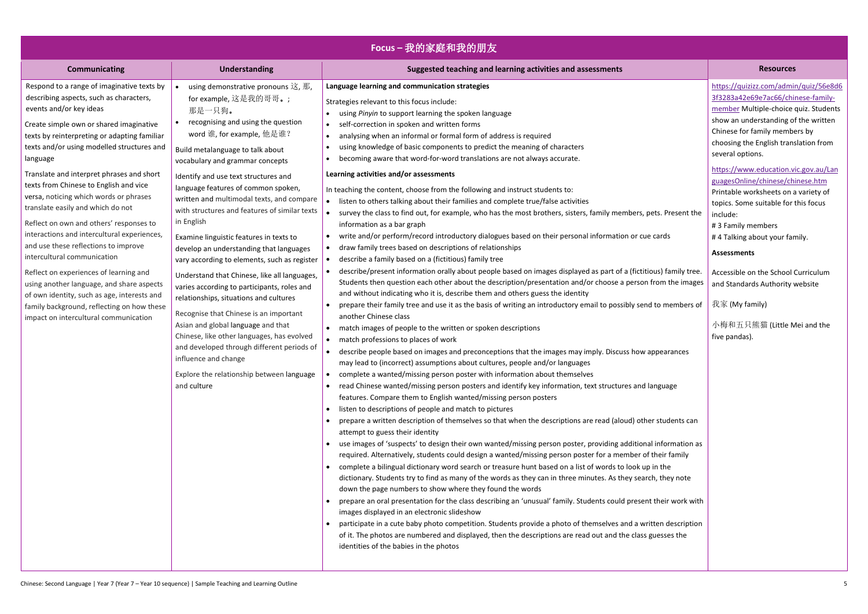| Focus-我的家庭和我的朋友                                                                                                                                                                                                                                                                                                                                                                                                                                                                                                                                                                                                                                                                                                                                                                                                                           |                                                                                                                                                                                                                                                                                                                                                                                                                                                                                                                                                                                                                                                                                                                                                                                                                                                                                                                                                           |                                                                                                                                                                                                                                                                                                                                                                                                                                                                                                                                                                                                                                                                                                                                                                                                                                                                                                                                                                                                                                                                                                                                                                                                                                                                                                                                                                                                                                                                                                                                                                                                                                                                                                                                                                                                                                                                                                                                                                                                                                                                                                                                                                                                                                                                                                                                                                                                                                                                                                                                                                                                                                                                                                                                                                                                                                                                                                                                                                                                                                                                                                                                                                                                                                                                       |                                                                                                                                                                                                                                                                                                                                                                                                                                                                                                          |
|-------------------------------------------------------------------------------------------------------------------------------------------------------------------------------------------------------------------------------------------------------------------------------------------------------------------------------------------------------------------------------------------------------------------------------------------------------------------------------------------------------------------------------------------------------------------------------------------------------------------------------------------------------------------------------------------------------------------------------------------------------------------------------------------------------------------------------------------|-----------------------------------------------------------------------------------------------------------------------------------------------------------------------------------------------------------------------------------------------------------------------------------------------------------------------------------------------------------------------------------------------------------------------------------------------------------------------------------------------------------------------------------------------------------------------------------------------------------------------------------------------------------------------------------------------------------------------------------------------------------------------------------------------------------------------------------------------------------------------------------------------------------------------------------------------------------|-----------------------------------------------------------------------------------------------------------------------------------------------------------------------------------------------------------------------------------------------------------------------------------------------------------------------------------------------------------------------------------------------------------------------------------------------------------------------------------------------------------------------------------------------------------------------------------------------------------------------------------------------------------------------------------------------------------------------------------------------------------------------------------------------------------------------------------------------------------------------------------------------------------------------------------------------------------------------------------------------------------------------------------------------------------------------------------------------------------------------------------------------------------------------------------------------------------------------------------------------------------------------------------------------------------------------------------------------------------------------------------------------------------------------------------------------------------------------------------------------------------------------------------------------------------------------------------------------------------------------------------------------------------------------------------------------------------------------------------------------------------------------------------------------------------------------------------------------------------------------------------------------------------------------------------------------------------------------------------------------------------------------------------------------------------------------------------------------------------------------------------------------------------------------------------------------------------------------------------------------------------------------------------------------------------------------------------------------------------------------------------------------------------------------------------------------------------------------------------------------------------------------------------------------------------------------------------------------------------------------------------------------------------------------------------------------------------------------------------------------------------------------------------------------------------------------------------------------------------------------------------------------------------------------------------------------------------------------------------------------------------------------------------------------------------------------------------------------------------------------------------------------------------------------------------------------------------------------------------------------------------------------|----------------------------------------------------------------------------------------------------------------------------------------------------------------------------------------------------------------------------------------------------------------------------------------------------------------------------------------------------------------------------------------------------------------------------------------------------------------------------------------------------------|
| Communicating                                                                                                                                                                                                                                                                                                                                                                                                                                                                                                                                                                                                                                                                                                                                                                                                                             | <b>Understanding</b>                                                                                                                                                                                                                                                                                                                                                                                                                                                                                                                                                                                                                                                                                                                                                                                                                                                                                                                                      | Suggested teaching and learning activities and assessments                                                                                                                                                                                                                                                                                                                                                                                                                                                                                                                                                                                                                                                                                                                                                                                                                                                                                                                                                                                                                                                                                                                                                                                                                                                                                                                                                                                                                                                                                                                                                                                                                                                                                                                                                                                                                                                                                                                                                                                                                                                                                                                                                                                                                                                                                                                                                                                                                                                                                                                                                                                                                                                                                                                                                                                                                                                                                                                                                                                                                                                                                                                                                                                                            | <b>Resources</b>                                                                                                                                                                                                                                                                                                                                                                                                                                                                                         |
| Respond to a range of imaginative texts by<br>describing aspects, such as characters,<br>events and/or key ideas<br>Create simple own or shared imaginative<br>texts by reinterpreting or adapting familiar<br>texts and/or using modelled structures and<br>language<br>Translate and interpret phrases and short<br>texts from Chinese to English and vice<br>versa, noticing which words or phrases<br>translate easily and which do not<br>Reflect on own and others' responses to<br>interactions and intercultural experiences,<br>and use these reflections to improve<br>intercultural communication<br>Reflect on experiences of learning and<br>using another language, and share aspects<br>of own identity, such as age, interests and<br>family background, reflecting on how these<br>impact on intercultural communication | using demonstrative pronouns 这, 那,<br>for example, 这是我的哥哥。;<br>那是一只狗。<br>recognising and using the question<br>word 谁, for example, 他是谁?<br>Build metalanguage to talk about<br>vocabulary and grammar concepts<br>Identify and use text structures and<br>language features of common spoken,<br>written and multimodal texts, and compare<br>with structures and features of similar texts<br>in English<br>Examine linguistic features in texts to<br>develop an understanding that languages<br>vary according to elements, such as register<br>Understand that Chinese, like all languages,<br>varies according to participants, roles and<br>relationships, situations and cultures<br>Recognise that Chinese is an important<br>Asian and global language and that<br>Chinese, like other languages, has evolved<br>and developed through different periods of<br>influence and change<br>Explore the relationship between language<br>and culture | Language learning and communication strategies<br>Strategies relevant to this focus include:<br>using Pinyin to support learning the spoken language<br>self-correction in spoken and written forms<br>$\bullet$<br>analysing when an informal or formal form of address is required<br>using knowledge of basic components to predict the meaning of characters<br>becoming aware that word-for-word translations are not always accurate.<br>Learning activities and/or assessments<br>In teaching the content, choose from the following and instruct students to:<br>listen to others talking about their families and complete true/false activities<br>survey the class to find out, for example, who has the most brothers, sisters, family members, pets. Present the<br>information as a bar graph<br>write and/or perform/record introductory dialogues based on their personal information or cue cards<br>draw family trees based on descriptions of relationships<br>describe a family based on a (fictitious) family tree<br>describe/present information orally about people based on images displayed as part of a (fictitious) family tree.<br>Students then question each other about the description/presentation and/or choose a person from the images<br>and without indicating who it is, describe them and others guess the identity<br>prepare their family tree and use it as the basis of writing an introductory email to possibly send to members of<br>another Chinese class<br>match images of people to the written or spoken descriptions<br>• match professions to places of work<br>describe people based on images and preconceptions that the images may imply. Discuss how appearances<br>may lead to (incorrect) assumptions about cultures, people and/or languages<br>complete a wanted/missing person poster with information about themselves<br>read Chinese wanted/missing person posters and identify key information, text structures and language<br>features. Compare them to English wanted/missing person posters<br>listen to descriptions of people and match to pictures<br>$\bullet$<br>prepare a written description of themselves so that when the descriptions are read (aloud) other students can<br>attempt to guess their identity<br>use images of 'suspects' to design their own wanted/missing person poster, providing additional information as<br>required. Alternatively, students could design a wanted/missing person poster for a member of their family<br>complete a bilingual dictionary word search or treasure hunt based on a list of words to look up in the<br>dictionary. Students try to find as many of the words as they can in three minutes. As they search, they note<br>down the page numbers to show where they found the words<br>prepare an oral presentation for the class describing an 'unusual' family. Students could present their work with<br>images displayed in an electronic slideshow<br>participate in a cute baby photo competition. Students provide a photo of themselves and a written description<br>of it. The photos are numbered and displayed, then the descriptions are read out and the class guesses the<br>identities of the babies in the photos | https://quizizz.com/admi<br>3f3283a42e69e7ac66/chi<br>member Multiple-choice<br>show an understanding of<br>Chinese for family membe<br>choosing the English trans<br>several options.<br>https://www.education.v<br>guagesOnline/chinese/ch<br>Printable worksheets on a<br>topics. Some suitable for<br>include:<br>#3 Family members<br>#4 Talking about your far<br><b>Assessments</b><br>Accessible on the School<br>and Standards Authority<br>我家 (My family)<br>小梅和五只熊猫(Little M<br>five pandas). |

|                                                       | <b>Resources</b>                                                                                                                                                                                                                                           |
|-------------------------------------------------------|------------------------------------------------------------------------------------------------------------------------------------------------------------------------------------------------------------------------------------------------------------|
|                                                       | https://quizizz.com/admin/quiz/56e8d6<br>3f3283a42e69e7ac66/chinese-family-<br>member Multiple-choice quiz. Students<br>show an understanding of the written<br>Chinese for family members by<br>choosing the English translation from<br>several options. |
|                                                       | https://www.education.vic.gov.au/Lan<br>guagesOnline/chinese/chinese.htm<br>Printable worksheets on a variety of                                                                                                                                           |
| ts. Present the<br>ards:                              | topics. Some suitable for this focus<br>include:<br>#3 Family members                                                                                                                                                                                      |
|                                                       | #4 Talking about your family.<br><b>Assessments</b>                                                                                                                                                                                                        |
| us) family tree.<br>om the images                     | Accessible on the School Curriculum<br>and Standards Authority website                                                                                                                                                                                     |
| to members of                                         | 我家 (My family)                                                                                                                                                                                                                                             |
|                                                       | 小梅和五只熊猫 (Little Mei and the<br>five pandas).                                                                                                                                                                                                               |
| pearances                                             |                                                                                                                                                                                                                                                            |
| າguage                                                |                                                                                                                                                                                                                                                            |
| students can                                          |                                                                                                                                                                                                                                                            |
| information as<br>neir family<br>า the<br>, they note |                                                                                                                                                                                                                                                            |
| heir work with                                        |                                                                                                                                                                                                                                                            |
| en description<br>esses the                           |                                                                                                                                                                                                                                                            |
|                                                       |                                                                                                                                                                                                                                                            |